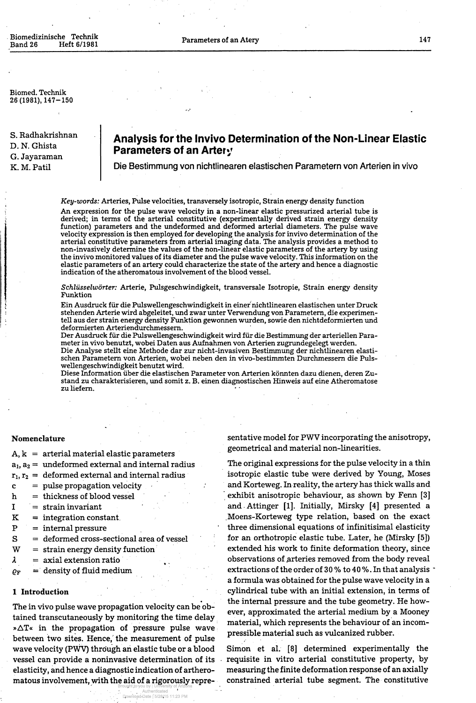Biomedizinische Technik Heft 6/1981

Biomed. Technik  $26(1981), 147-150$ 

## **Analysis for the Invivo Determination of the Non-Linear Elastic Parameters of an Artery**

S. Radhakrishnan D. N. Ghista G. Jayaraman K. M. Patil

Die Bestimmung von nichtlinearen elastischen Parametern von Arterien in vivo

*Key-words:* Arteries, Pulse velocities, transversely isotropic, Strain energy density function

An expression for the pulse wave velocity in a non-linear elastic pressurized arterial tube is derived; in terms of the arterial constitutive (experimentally derived strain energy density function) parameters and the undeformed and deformed arterial diameters. The pulse wave velocity expression is then employed for developing the analysis for invivo determination of the arterial constitutive parameters from arterial imaging data. The analysis provides a method to non-invasively determine the values of the non-linear elastic parameters of the artery by using the invivo monitored values of its diameter and the pulse wave velocity. This information on the elastic parameters of an artery could characterize the state of the artery and hence a diagnostic indication of the atheromatous involvement of the blood vessel.

Die Analyse stellt eine Methode dar zur nicht-invasiven Bestimmung der nichtlinearen elastischen Parametern von Arterien, wobei neben den in vivo-bestimmten Durchmessern die Pulswellengeschwindigkeit benutzt wird.

- = pulse propagation velocity
- h = thickness of blood vessel *Property Security*
- I = strain invariant
- K = Integration constant.
- P = internal pressure
- S  $=$  deformed cross-sectional area of vessel
- W = strain energy density function
- $\lambda$ = axial extension ratio
- = density of fluid medium  $\varrho_{\text{F}}$

*Schlüsselwörter:* Arterie, Pulsgeschwindigkeit, transversale Isotropie, Strain energy density Funktion

Ein Ausdruck für die Pulswellengeschwindigkeit in einer nichtlinearen elastischen unter Druck stehenden Arterie wird abgeleitet, und zwar unter Verwendung von Parametern, die experimentell aus der strain energy density Funktion gewonnen wurden, sowie den nichtdeformierten und deformierten Arteriendurchmessern.

> sentative model for PWV incorporating the anisotropy, geometrical and material non-linearities.

Der Ausdruck für die Pulswellengeschwindigkeit wird für die Bestimmung der arteriellen Parameter in vivo benutzt, wobei Daten aus Aufnahmen von Arterien zugrundegelegt werden.

Diese Information über die elastischen Parameter von Arterien könnten dazu dienen, deren Zustand zu charakterisieren, und somit z. B. einen diagnostischen Hinweis auf eine Atheromatose zu liefern.

The in vivo pulse wave propagation velocity can be obtained transcutaneously by monitoring the time delay » $\Delta T$ « in the propagation of pressure pulse wave between two sites. Hence, the measurement of pulse wave velocity (PWV) through an elastic tube or a blood vessel can provide a noninvasive determination of its elasticity, and hence a diagnostic indication of artheromatous involvement, with the aid of a rigorously repre-Brought to you by | University of Arizona

### **Nomenclature**

c

A, k = arterial material elastic parameters

 $a_1, a_2 = \text{ undefined external and internal radius}$ 

### **l Introduction**

The original expressions for the pulse velocity in a thin

,  $r_2 =$  deformed external and internal radius

isotropic elastic tube were derived by Young, Moses and Korteweg. In reality, the artery has thick walls and exhibit anisotropic behaviour, äs shown by Fenn [3] and Attinger [1]. Initially, Mirsky [4] presented a Moens-Korteweg type relation, based on the exact three dimensional equations of infinitisimal elasticity for an orthotropic elastic tube. Later, he (Mirsky [5]) extended his work to finite deformation theory, since observations of arteries removed from the body reveal extractions of the order of 30 % to 40 %. In that analysis a formula was obtained for the pulse wave velocity in a cylindrical tube with an initial extension, in terms of the internal pressure and the tube geometry. He however, approximated the arterial medium by a Mooney material, which represents the behaviour of an incompressible material such äs vulcanized rubber.

Simon et al. [8] determined experimentally the requisite in vitro arterial constitutive property, by measuring the finite deformation response of an axially constrained arterial tube segment. The constitutive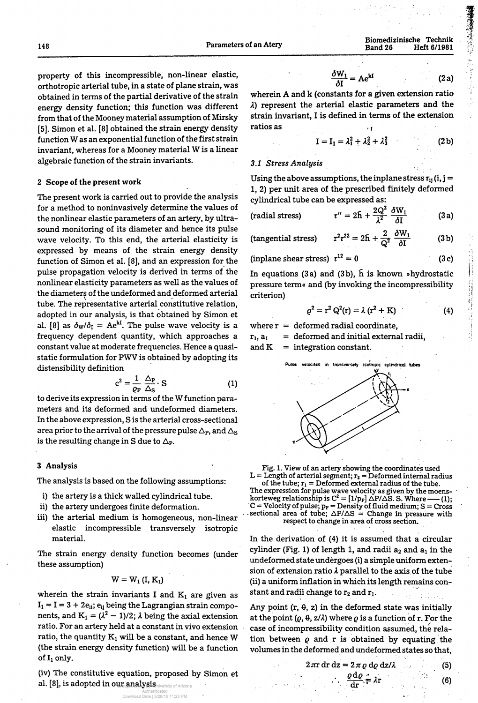148 Parameters of an Atery

Biomedizinische Technik Band 26 Heft 6/1981

property of this incompressible, non-linear elastic, orthotropic arterial tube, in a state of plane strain, was obtained in terms of the partial derivative of the strain energy density function; this function was different from that of the Mooney material assumption of Mirsky [5]. Simon et al. [8] obtained the strain energy density function W as an exponential function of the first strain invariant, whereas for a Mooney material W is a linear algebraic function of the strain invariants.

### **2 Scope of the present work**

to derive its expression in terms of the W function parameters and its deformed and undeformed diameters. In the above expression, S is the arterial cross-sectional area prior to the arrival of the pressure pulse  $\Delta_{\rm P}$ , and  $\Delta_{\rm S}$ is the resulting change in S due to  $\Delta_{P}$ .

The present work is carried out to provide the analysis for a method to noninvasively determine the values of the nonlinear elastic parameters of an artery, by ultrasound monitoring of its diameter and hence its pulse wave velocity. To this end, the arterial elasticity is expressed by means of the strain energy density function of Simon et al. [8], and an expression for the pulse propagation velocity is derived in terms of the nonlinear elasticity parameters as well as the values of the diameters of the undeformed and deformed arterial tube. The representative arterial constitutive relation, adopted in our analysis, is that obtained by Simon et al. [8] as  $\delta_{\rm W}/\delta_{\rm I}$  = Ae<sup>kI</sup>. The pulse wave velocity is a frequency dependent quantity, which approaches a constant value at moderate frequencies. Hence a quasistatic formulation for PWV is obtained by adopting its distensibility definition

(iv) The constitutive equation, proposed by Simon et al. [8], is adopted in our analysis inversity of Arizona

wherein A and k (constants for a given extension ratio A) represent the arterial elastic parameters and the strain invariant, I is defined in terms of the extension ratios as

$$
c^2 = \frac{1}{\varrho_F} \frac{\Delta_P}{\Delta_S} \cdot S \tag{1}
$$

In equations (3a) and (3b),  $\bar{h}$  is known »hydrostatic pressure term« and (by invoking the incompressibility criterion)

#### **3 Analysis**

The analysis is based on the following assumptions:

 $L =$  Length of arterial segment;  $r_2 =$  Deformed internal radius of the tube;  $r_1$  = Deformed external radius of the tube. The expression for pulse wave velocity as given by the moenskorteweg relationship is  $C^2 = [1/p_F] \triangle P/\triangle S$ . S. Where ——(1);  $C =$  Velocity of pulse;  $p_F =$  Density of fluid medium;  $S =$  Cross sectional area of tube;  $\Delta P/\Delta S =$  Change in pressure with respect to change in area of cross section.

In the derivation of (4) it is assumed that a circular cylinder (Fig. 1) of length 1, and radii  $a_2$  and  $a_1$  in the undeformed state undergoes (i) a simple uniform extension of extension ratio  $\lambda$  parallel to the axis of the tube (ii) a uniform inflation in which its length remains constant and radii change to  $r_2$  and  $r_1$ .

- i) the artery is a thick walled cylindrical tube.
- ii) the artery undergoes finite deformation.
- iii) the arterial medium is homogeneous, non-linear elastic incompressible transversely isotropic material.

The strain energy density function becomes (under these assumption)

# $W = W_1(I, K_1)$

wherein the strain invariants I and  $K_1$  are given as  $I_1 = I = 3 + 2e_{ii}$ ;  $e_{ij}$  being the Lagrangian strain components, and  $\mathrm{K}_1 = (\lambda^2 - 1)/2; \, \lambda$  being the axial extension ratio. For an artery held at a constant in vivo extension ratio, the quantity  $K_1$  will be a constant, and hence W (the strain energy density function) will be a function of  $I_1$  only.

$$
\frac{\delta W_1}{\delta I} = Ae^{kI} \tag{2a}
$$

Any point  $(r, \theta, z)$  in the deformed state was initially at the point  $(\rho, \theta, z/\lambda)$  where  $\rho$  is a function of r. For the case of incompressibility condition assumed, the relation between  $\rho$  and  $r$  is obtained by equating the volumes in the deformed and undeformed states so that,

$$
I = I_1 = \lambda_1^2 + \lambda_2^2 + \lambda_3^2 \tag{2b}
$$

### *3.1 Stress Analysis*

Using the above assumptions, the inplane stress  $\tau_{ij}$  (i, j = l, 2) per unit area of the prescribed finitely deformed cylindrical tube can be expressed as:

$$
\text{(radial stress)} \qquad \qquad \tau'' = 2\bar{h} + \frac{2Q^2}{\lambda^2} \frac{\delta W_1}{\delta I} \qquad \qquad (3
$$

(tangential stress) 
$$
r^2 \tau^{22} = 2\bar{h} + \frac{2}{Q^2} \frac{\partial W_1}{\partial I}
$$
 (3b)

(inplane shear stress)  $\tau^{12} = 0$ 

(3c)

 $a)$ 

$$
\rho^2 = r^2 Q^2(r) = \lambda (r^2 + K)
$$
 (4)

where  $r =$  deformed radial coordinate,

 $r_1$ ,  $a_1$  = deformed and initial external radii,

and  $K =$  integration constant.





Fig. 1. View of an artery showing the coordinates used

$$
2\pi r dr dz = 2\pi \varrho d\varrho dz/\lambda \qquad (5)
$$

 $\frac{dS}{dr} = \lambda r$ 

(6)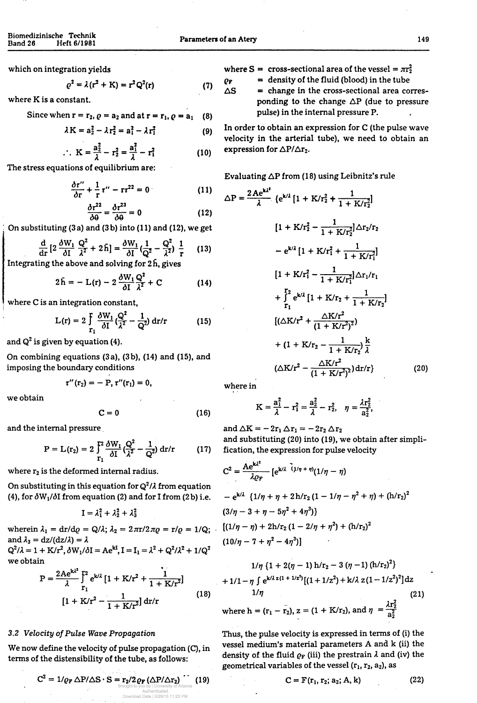which on integration yields

where K is a constant.

Since when 
$$
r = r_2
$$
,  $\rho = a_2$  and at  $r = r_1$ ,  $\rho = a_1$  (8)

$$
\varrho^2 = \lambda (r^2 + K) = r^2 Q^2(r) \tag{7}
$$

$$
\lambda K = a_2^2 - \lambda r_2^2 = a_1^2 - \lambda r_1^2 \tag{9}
$$

$$
K = \frac{a_2^2}{\lambda} - r_2^2 = \frac{a_1^2}{\lambda} - r_1^2
$$
 (10)

The stress equations of equilibrium are:

$$
\frac{\partial \tau^{\prime\prime}}{\partial r} + \frac{1}{r} \tau^{\prime\prime} - r\tau^{22} = 0 \qquad (11)
$$

$$
\frac{\partial \tau^{22}}{\partial \theta} = \frac{\partial \tau^{23}}{\partial \theta} = 0 \tag{12}
$$

On substituting (3 a) and (3b) into (11) and (12), we get

$$
\frac{\mathrm{d}}{\mathrm{d} \mathrm{r}}\left[2\,\frac{\partial W_1}{\partial I}\,\frac{Q^2}{\lambda^2}+2\,\tilde{h}\right]=\frac{\partial W_1}{\partial I}\left(\frac{1}{Q^2}-\frac{Q^2}{\lambda^2}\right)\,\frac{1}{\mathrm{r}}\qquad(13)
$$

Integrating the above and solving for  $2h$ , gives

$$
2\tilde{h} = - L(r) - 2 \frac{\delta W_1}{\delta I} \frac{Q^2}{\lambda^2} + C \qquad (14)
$$

where C is an integration constant,

$$
L(r) = 2 \int_{r_1}^{r} \frac{\delta W_1}{\delta I} \left( \frac{Q^2}{\lambda^2} - \frac{1}{Q^2} \right) dr/r
$$
 (15)

and  $\mathsf{Q}^2$  is given by equation (4).

wherein  $\lambda_1 = dr/d\varrho = Q/\lambda$ ;  $\lambda_2 = 2\pi r/2\pi\rho = r/\varrho = 1/Q$ ; and  $\lambda_3 = dz/(dz/\lambda) = \lambda$  $Q^2/\lambda = 1 + K/r^2$ ,  $\delta W_1/\delta I = Ae^{kI}$ ,  $I = I_1 = \lambda^2 + Q^2/\lambda^2 + 1/Q^2$ we obtain

On combining equations (3 a), (3b), (14) and (15), and imposing the boundary conditions

We now define the velocity of pulse propagation (C), in terms of the distensibility of the tube, as follows:

$$
\tau''({\rm r}_2)=-{\rm P},\,\tau''({\rm r}_1)=0,
$$

we obtain

$$
C = 0 \tag{16}
$$

and the internal pressure

$$
P = L(r_2) = 2 \int_{r_1}^{r_2} \frac{\delta W_1}{\delta I} \left( \frac{Q^2}{\lambda^2} - \frac{1}{Q^2} \right) dr/r
$$
 (17)

where  $S = \csc{t}$  cross-sectional area of the vessel  $= \pi r_2^2$ 

 $\rho_F$  = density of the fluid (blood) in the tube

 $\Delta S$  = change in the cross-sectional area corresponding to the change ΔΡ (due to pressure pulse) in the internal pressure P.

In order to obtain an expression for C (the pulse wave velocity in the arterial tube), we need to obtain an expression for  $\Delta P/\Delta r_2$ .

and  $\Delta K = -2r_1 \Delta r_1 = -2r_2 \Delta r_2$ and substituting (20) into (19), we obtain after simpli fication, the expression for pulse velocity

$$
P = \frac{2Ae^{k\lambda^{2}}}{\lambda} \int_{r_{1}}^{r_{2}} e^{k\lambda^{2}} [1 + K/r^{2} + \frac{1}{1 + K/r^{2}}]
$$
  
[1 + K/r<sup>2</sup> -  $\frac{1}{1 + K/r^{2}}] dr/r$  (18)

### 3.2 *Velocity of Pulse Wave Propagation*

Thus, the pulse velocity is expressed in terms of (i) the vessel medium's material parameters A and k (ii) the density of the fluid  $\rho_F$  (iii) the prestrain  $\lambda$  and (iv) the geometrical variables of the vessel  $(r_1, r_2, a_2)$ , as

Evaluating 
$$
\Delta P
$$
 from (18) using Leibnitz's rule

$$
\Delta P = \frac{2Ae^{k\lambda^{2}}}{\lambda} \{e^{k\lambda}[1 + K/r_{2}^{2} + \frac{1}{1 + K/r_{2}^{2}}]\Delta r_{2}/r_{2}
$$
\n
$$
= e^{k\lambda}[1 + K/r_{1}^{2} + \frac{1}{1 + K/r_{1}^{2}}]\Delta r_{2}/r_{2}
$$
\n
$$
= e^{k\lambda}[1 + K/r_{1}^{2} + \frac{1}{1 + K/r_{1}^{2}}]\Delta r_{1}/r_{1}
$$
\n
$$
+ \int_{r_{1}}^{r_{2}} e^{k\lambda}[1 + K/r_{2} + \frac{1}{1 + K/r_{2}}]
$$
\n
$$
[(\Delta K/r^{2} + \frac{\Delta K/r^{2}}{(1 + K/r^{2})^{2}})]
$$
\n
$$
+ (1 + K/r_{2} - \frac{1}{1 + K/r_{2}}) \frac{k}{\lambda}
$$
\n
$$
(\Delta K/r^{2} + \frac{\Delta K/r^{2}}{(1 + K/r^{2})^{2}}) dr/r \}
$$
\n(20)

where in

$$
K=\frac{a_1^2}{\lambda}-r_1^2=\frac{a_2^2}{\lambda}-r_2^2, \quad \eta=\frac{\lambda r_2^2}{a_2^2},
$$

$$
R^2 = \frac{A e^{k\lambda^2}}{[x^2 + \frac{1}{2}(\frac{1}{\eta} + \eta)(1/\eta - \eta)]}
$$

where  $r_2$  is the deformed internal radius.

On substituting in this equation for  $\mathbf{Q}^2/\lambda$  from equation (4), for  $\delta W_1/\delta I$  from equation (2) and for I from (2b) i.e.

$$
I = \lambda_1^2 + \lambda_2^2 + \lambda_3^2
$$

$$
C^2 = 1/\rho_F \,\Delta P/\Delta S \cdot S = r_2/2 \rho_F \left(\Delta P/\Delta r_2\right) \cdot \left(19\right)
$$

$$
- e^{k/\lambda} \{1/\eta + \eta + 2h/r_2 (1 - 1/\eta - \eta^2 + \eta) + (h/r_2)^2
$$
  
\n
$$
(3/\eta - 3 + \eta - 5\eta^2 + 4\eta^3)\}
$$
  
\n
$$
[(1/\eta - \eta) + 2h/r_2 (1 - 2/\eta + \eta^2) + (h/r_2)^2
$$
  
\n
$$
(10/\eta - 7 + \eta^2 - 4\eta^3)]
$$

$$
1/\eta \left\{1 + 2(\eta - 1) h/r_2 - 3 (\eta - 1) (h/r_2)^2\right\}
$$
  
+ 
$$
1/1 - \eta \int e^{k/\lambda z (1 + 1/z^2)} [(1 + 1/z^2) + k/\lambda z (1 - 1/z^2)^2] dz
$$
  

$$
1/\eta
$$
 (21)  
where  $h = (r_1 - r_2), z = (1 + K/r_2), \text{ and } \eta = \frac{\lambda r_2^2}{a_2^2}$ 

$$
C = F(r_1, r_2; a_2; A, k)
$$
 (22)

$$
C^2 = \frac{1}{\lambda \varrho_F} \left[ e^{i \lambda \Delta \left( \frac{\lambda}{\mu} \eta + \eta \right)} (1/\eta - \eta) \right]
$$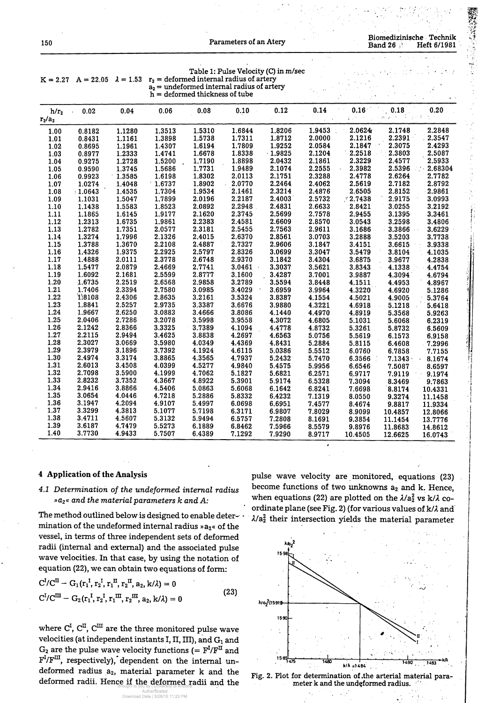| 150                  |                  |                  |                  |                                  | Parameters of an Atery                       |                                      |                  |                   | <b>Band 26</b>     | Biomedizinische Technik<br>Heft 6/1981 |
|----------------------|------------------|------------------|------------------|----------------------------------|----------------------------------------------|--------------------------------------|------------------|-------------------|--------------------|----------------------------------------|
| $K = 2.27$           | $A = 22.05$      | $\lambda = 1.53$ |                  |                                  | $r_2$ = deformed internal radius of artery   | Table 1: Pulse Velocity (C) in m/sec |                  |                   |                    |                                        |
|                      |                  |                  |                  | $h =$ deformed thickness of tube | $a_2$ = undeformed internal radius of artery |                                      |                  |                   |                    |                                        |
| $h/r_2$<br>$r_2/a_2$ | 0.02             | 0.04             | 0.06             | 0.08                             | 0.10                                         | 0.12                                 | 0.14             | 0.16              | 0.18               | 0.20                                   |
| 1.00                 | 0.8182           | 1.1280           | 1.3513           | 1.5310                           | 1.6844                                       | 1.8206                               | 1.9453           | 2.0624            | 2.1748             | 2.2848                                 |
| 1.01                 | 0.8431           | 1.1161           | 1.3898           | 1.5738                           | 1.7311                                       | 1.8712                               | 2.0000           | 2.1216            | 2.2391             | 2.3547                                 |
| 1.02                 | 0.8695           | 1.1961           | 1.4307           | 1.6194                           | 1.7809                                       | 1.9252                               | 2.0584           | 2.1847            | 2.3075             | 2.4293                                 |
| 1.03                 | 0.8977           | 1.2333           | 1.4741           | 1.6678                           | 1.8338                                       | $-1.9825$                            | 2.1204           | 2.2518            | 2.3803             | 2.5087                                 |
| 1.04                 | 0.9275           | 1.2728           | 1.5200           | 1.7190                           | 1.8898                                       | 2.0432                               | 2.1861           | 2.3229            | 2.4577             | 2.5933                                 |
| 1.05                 | 0.9590           | 1.3745           | 1.5686           | 1.7731                           | 1.9489                                       | 2.1074                               | 2.2555           | 2.3982            | 2.5396             | 2.68304                                |
| 1.06                 | 0.9923           | 1.3585           | 1.6198           | 1.8302                           | 2.0113                                       | 2.1751                               | 2.3288           | 2.4778            | 2.6264             | 2.7782                                 |
| 1.07                 | 1.0274           | 1.4048           | 1.6737           | 1.8902                           | 2.0770                                       | 2.2464                               | 2.4062           | 2.5619            | 2.7182             | 2.8792                                 |
| 1.08                 | $\pm 1.0643$     | 1.4535           | 1.7304           | 1.9534                           | 2.1461                                       | 2.3214                               | 2.4876           | 2.6505            | 2.8152             | 2.9861                                 |
| 1.09                 | 1.1031           | 1.5047           | 1.7899           | 2.0196                           | 2.2187                                       | 2.4003                               | 2.5732           | 12.7438           | 2.9175             | 3.0993                                 |
| 1.10                 | 1.1438           | 1.5583           | 1.8523           | 2.0892                           | 2.2948                                       | 2.4831                               | 2.6633           | 2.8421            | 3.0255             | 3.2192                                 |
| 1.11                 | 1.1865           | 1.6145           | 1.9177           | 2.1620                           | 2.3745                                       | 2.5699                               | 2.7578           | 2.9455            | 3.1395             | 3.3461                                 |
| 1.12                 | 1.2313           | 1.6735           | 1.9861           | 2.2383                           | 2.4581                                       | 2.6609                               | 2.8570           | 3.0543            | 3.2598             | 3.4806                                 |
| 1.13                 | 1.2782           | 1.7351           | 2.0577           | 2.3181                           | 2.5455                                       | 2.7563                               | 2.9611           | 3.1686            | 3.3866             | 3.6229                                 |
| 1.14                 | 1.3274           | 1.7996           | 2.1326           | 2.4015                           | 2.6370                                       | 2.8561                               | 3.0703           | 3.2888            | 3.5203             | 3.7738                                 |
| 1.15                 | 1.3788           | 1.3670           | 2.2108           | 2.4887                           | 2.7327                                       | 2.9606                               | 3.1847           | 3.4151            | 3.6615             | 3.9338                                 |
| 1.16                 | 1.4326           | 1.9375           | 2.2925           | 2.5797                           | 2.8326                                       | 3.0699                               | 3.3047           | 3.5479            | 3.8104             | 4.1035                                 |
| 1.17                 | 1.4888           | 2.0111           | 2.3778           | 2.6748                           | 2.9370                                       | 3.1842                               | 3.4304           | 3.6875            | 3.9677             | 4.2838                                 |
| 1.18                 | 1.5477           | 2.0879           | 2.4669           | 2.7741                           | 3.0461                                       | 3.3037                               | 3.5621           | 3.8343            | 4.1338             | 4.4754                                 |
| 1.19                 | 1.6092           | 2.1681           | 2.5599           | 2.8777                           | 3.1600                                       | 3.4287                               | 3.7001           | 3.9887            | 4.3094             | 4.6794                                 |
| 1.20                 | 1.6735           | 2.2519           | 2.6568           | 2.9858                           | 3.2789                                       | 3.5594                               | 3.8448           | 4.1511            | 4.4953             | 4.8967                                 |
| 1.21                 | 1.7406           | 2.3394           | 2.7580           | 3.0985                           | 3.4029                                       | 3.6959                               | 3.9964           | 4.3220            | 4.6920             | 5.1286                                 |
| 1.22                 | 1,8108           | 2.4306           | 2.8635           | 3.2161                           | 3.5324                                       | 3.8387                               | 4.1554           | 4.5021            | 4.9005             | 5.3764                                 |
| 1.23                 | 1.8841           | 2.5257           | 2.9735           | 3.3387                           | 3.6676                                       | 3.9880                               | 4.3221           | 4.6918            | 5.1218             | 5.6418                                 |
| 1.24                 | 1.9667           | 2.6250           | 3.0883           | 3.4666                           | 3.8086                                       | 4.1440                               | 4.4970           | 4.8919            | 5.3568             | 5.9263                                 |
| 1.25                 | 2.0406           | 2.7286           | 3.2078           | 3.5998                           | 3.9558                                       | 4.3072                               | 4.6805           | 5.1031            | 5.6068             | 6.2319                                 |
| 1.26                 | 2.1242           | 2.8366           | 3.3325           | 3.7389                           | 4.1094                                       | 4.4778                               | 4.8732           | 5.3261            | 5.8732             | 6.5609                                 |
| 1.27                 | 2.2115           | 2.9494           | 3.4625           | 3.8838                           | 4.2697                                       | 4.6563                               | 5.0756           | 5.5619            | 6.1573             | 6.9158                                 |
| 1.28                 | 2.3027           | 3.0669           | 3.5980           | 4.0349                           | 4.4369                                       | 4.8431                               | 5.2884           | 5.8115            | 6.4608             | .7.2996                                |
| 1.29                 | 2.3979           | 3.1896           | 3.7392           | 4.1924                           | 4.6115                                       | 5.0386                               | 5.5512           | 6.0760            | 6.7858             | 7.7155                                 |
| 1.30                 | 2.4974           | 3.3174           | 3.8865           | 4.3565                           | 4.7937                                       | 5.2432                               | 5.7470           | 6.3566            | $7.1343 \cdot$     | 8.1674                                 |
| 1.31                 | 2.6013           | 3.4508           | 4.0399           | 4.5277                           | 4.9840                                       | 5.4575                               | 5.9956           | 6.6546            | 7.5087             | 8.6597                                 |
| 1.32                 | 2.7098           | 3.5900           | 4.1999           | 4.7062                           | 5.1827                                       | 5.6821                               | 6.2571           | 6.9717            | 7.9119             | 9.1974                                 |
| 1.33                 | 2.8232           | 3.7352           | 4.3667           | 4.8922                           | 5.3901                                       | 5.9174                               | 6.5328           | 7.3094            | 8.3469             | 9.7863                                 |
| 1.34<br>1.35         | 2.9416           | 3.8866           | 4.5406           | 5.0863                           | 5.6068                                       | 6.1642                               | 6.8241           | 7.6698            | 8.8174             | 10.4331                                |
| 1.36                 | 3.0654<br>3.1947 | 4.0446<br>4.2094 | 4.7218           | 5.2886                           | 5.8332                                       | 6.4232                               | 7.1319           | 8.0550            | 9.3274             | 11.1458                                |
| 1.37                 | 3.3299           | 4.3813           | 4.9107           | 5.4997                           | 6.0698                                       | 6.6951                               | 7.4577           | 8.4674            | 9.8817             | 11.9334                                |
| 1.38                 | 3.4711           | 4.5607           | 5.1077           | 5.7198                           | 6.3171                                       | 6.9807                               | 7.8029           | 8.9099            | 10.4857            | 12.8066                                |
| 1.39                 | 3.6187           | 4.7479           | 5.3132           | 5.9494                           | 6.5757                                       | 7.2808                               | 8.1691           | 9.3854            | 11.1454            | 13.7776                                |
| 1.40                 | 3.7730           | 4.9433           | 5.5273<br>5.7507 | 6.1889<br>6.4389                 | 6.8462<br>7.1292                             | 7.5966<br>7.9290                     | 8.5579<br>8.9717 | 9.8976<br>10.4505 | 11.8683<br>12.6625 | 14.8612<br>16.0743                     |

**4 Application of the Analysis**

pulse wave velocity are monitored, equations (23) become functions of two unknowns  $a_2$  and k. Hence, when equations (22) are plotted on the  $\lambda/a_2^2$  vs k/ $\lambda$  coordinate plane (see Fig. 2) (for various values of  $k/\lambda$  and  $\lambda/a_2^2$  their intersection yields the material parameter



Fig. 2. Plot for determination of the arterial material para-<br>meter k and the undeformed radius.

*4.1 Determination of the undeformed internal radius »a2« and the material parameters k and A:*

The method outlined below is designed to enable determination of the undeformed internal radius  $a_2 \times a_1$  of the vessel, in terms of three independent sets of deformed radii (internal and external) and the associated pulse wave velocities. In that case, by using the notation of equation (22), we can obtain two equations of form:

$$
C^{I}/C^{II} - G_1(r_1^I, r_2^I, r_1^{II}, r_2^{II}, a_2, k/\lambda) = 0
$$
  
\n
$$
C^{I}/C^{III} - G_2(r_1^I, r_2^I, r_1^{III}, r_2^{III}, a_2, k/\lambda) = 0
$$
\n(23)

where  $C^{I}$ ,  $C^{II}$ ,  $C^{III}$  are the three monitored pulse wave velocities (at independent instants I, II, III), and  $G_1$  and  $G_2$  are the pulse wave velocity functions (=  $F^I/F^{II}$  and  $F^{I}/F^{III}$ , respectively), dependent on the internal undeformed radius  $a_2$ , material parameter  $k$  and the deformed radii. Hence if the deformed radii and the new meter k and the undeformed radius.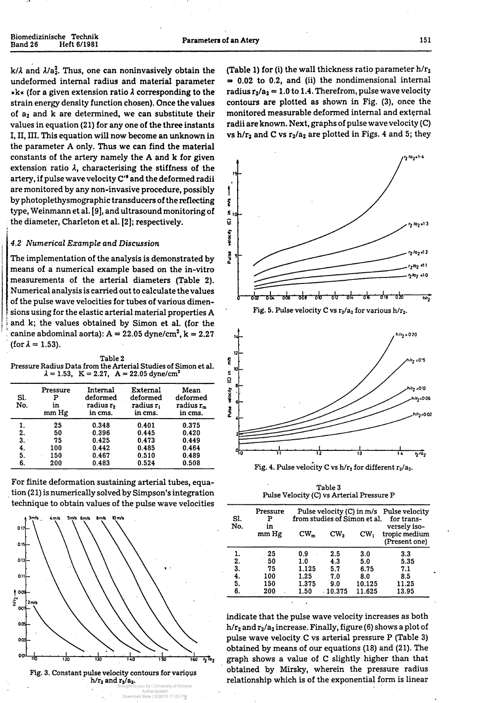| Biomedizinische Technik<br>Band 26 | Heft 6/1981 | <b>Parameters of an Atery</b> | 151 |
|------------------------------------|-------------|-------------------------------|-----|
|                                    |             |                               |     |

 $k/\lambda$  and  $\lambda/a_2^2$ . Thus, one can noninvasively obtain the undeformed internal radius and material parameter »k« (for a given extension ratio A corresponding to the strain energy density function chosen). Once the values of  $a_2$  and  $k$  are determined, we can substitute their values in equation (21) for any one of the three instants I, II, III. This equation will now become an unknown in the parameter A only. Thus we can find the material constants of the artery namely the A and k for given extension ratio  $\lambda$ , characterising the stiffness of the artery, if pulse wave velocity C" and the deformed radii are monitored by any non-invasive procedure, possibly by photoplethysmographic transducers of the reflecting type, Weinmann et al. [9], and ultrasound monitoring of the diameter, Charleton et al. [2]; respectively.

### *4.2 Numerical Example and Discussion*

 $\frac{1}{2}$  canine abdominal aorta): A = 22.05 dyne/cm<sup>2</sup>, k = 2.27 The implementation of the analysis is demonstrated by means of a numerical example based on the in-vitro measurements of the arterial diameters (Table 2). Numerical analysis is carried out to calculate the values of the pulse wave velocities for tubes of various dimensions using for the elastic arterial material properties A and k; the values obtained by Simon et al. (for the (for  $\lambda = 1.53$ ).



Fig. 5. Pulse velocity C vs  $r_2/a_2$  for various h/ $r_2$ .



**Fig. 4. Pulse velocity C vs h/r<sub>2</sub> for different r<sub>2</sub>/a<sub>2</sub>.** 

| Table 2                                                        |  |  |                                                             |  |  |  |
|----------------------------------------------------------------|--|--|-------------------------------------------------------------|--|--|--|
| Pressure Radius Data from the Arterial Studies of Simon et al. |  |  |                                                             |  |  |  |
|                                                                |  |  | $\lambda = 1.53$ , K = 2.27, A = 22.05 dyne/cm <sup>2</sup> |  |  |  |

| SI.<br>No. | Pressure<br>Р<br>in<br>mm Hg | Internal<br>deformed<br>radius $r2$<br>in cms. | External<br>deformed<br>radius $r_1$<br>in cms. | Mean<br>deformed<br>radius $r_m$<br>in cms. |
|------------|------------------------------|------------------------------------------------|-------------------------------------------------|---------------------------------------------|
|            | 25                           | 0.348                                          | 0.401                                           | 0.375                                       |
| 2.         | 50                           | 0.396                                          | 0.445                                           | 0.420                                       |
| 3.1        | 75                           | 0.425                                          | 0.473                                           | 0.449                                       |
| 4.         | 100                          | 0.442                                          | 0.485                                           | 0.464                                       |
| 5.         | 150                          | 0.467                                          | 0.510                                           | 0.489                                       |
| 6.         | 200                          | 0.483                                          | 0.524                                           | 0.508                                       |

(Table 1) for (i) the wall thickness ratio parameter  $h/r_2$  $= 0.02$  to 0.2, and (ii) the nondimensional internal radius  $r_2/a_2 = 1.0$  to 1.4. Therefrom, pulse wave velocity contours are plotted as shown in Fig. (3), once the monitored measurable deformed internal and external radii are known. Next, graphs of pulse wave velocity (C) vs  $h/r_2$  and C vs  $r_2/a_2$  are plotted in Figs. 4 and 5; they

indicate that the pulse wave velocity increases as both  $h/r_2$  and  $r_2/a_2$  increase. Finally, figure (6) shows a plot of pulse wave velocity C vs arterial pressure P (Table 3) obtained by means of our equations (18) and (21). The graph shows a value of C slightly higher than that obtained by Mirsky, wherein the pressure radius relationship which is of the exponential form is linear

For finite deformation sustaining arterial tubes, equation (21) is numerically solved by Simpson's integration technique to obtain values of the pulse wave velocities



Table 3 Pulse Velocity (C) vs Arterial Pressure P

| Sl.<br>No. | Pressure<br>P<br>in<br>mm Hg | $CW_m$ | from studies of Simon et al.<br>CW <sub>2</sub> | $CW_1$ | Pulse velocity (C) in m/s Pulse velocity<br>for trans-<br>versely iso-<br>tropic medium<br>(Present one) |
|------------|------------------------------|--------|-------------------------------------------------|--------|----------------------------------------------------------------------------------------------------------|
|            | 25                           | 0.9    | 2.5                                             | 3.0    | 3.3                                                                                                      |
| 2.         | 50                           | 1.0    | 4.3                                             | 5.0    | 5.35                                                                                                     |
| 3.         | 75                           | 1.125  | 5.7                                             | 6.75   | 7.1                                                                                                      |
| 4.         | 100                          | 1.25   | 7.0                                             | 8.0    | 8.5                                                                                                      |
| 5.         | 150                          | 1.375  | 9.0                                             | 10.125 | 11.25                                                                                                    |
| 6.         | 200                          | 1.50   | 10.375                                          | 11.625 | 13.95                                                                                                    |